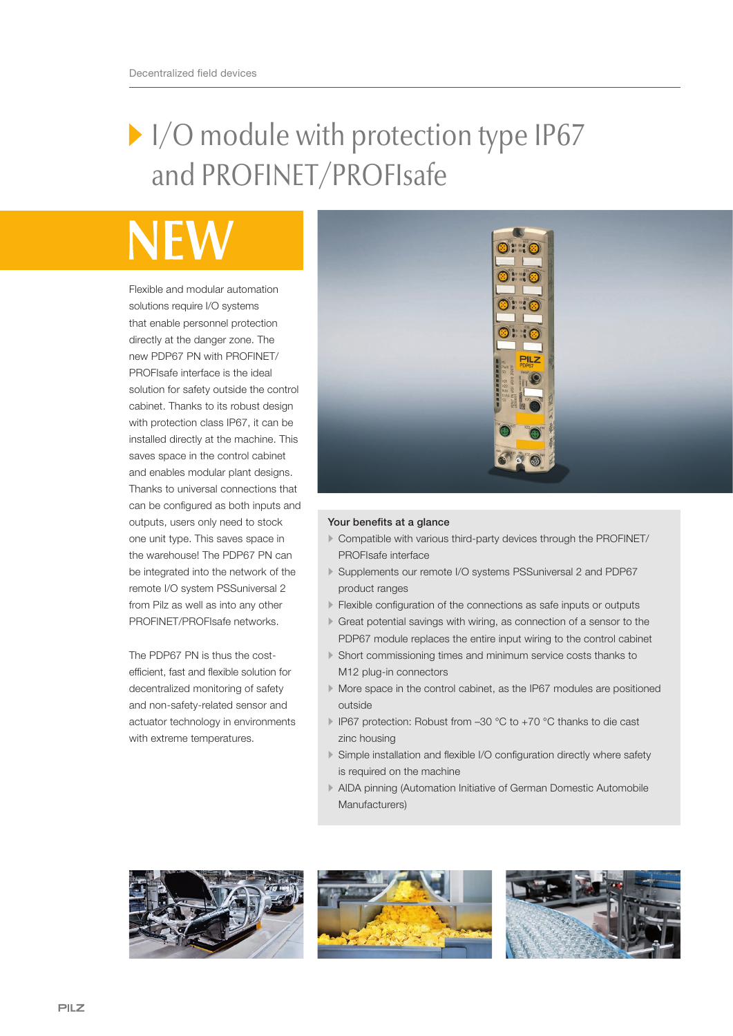## I/O module with protection type IP67 and PROFINET/PROFIsafe

Flexible and modular automation solutions require I/O systems that enable personnel protection directly at the danger zone. The new PDP67 PN with PROFINET/ PROFIsafe interface is the ideal solution for safety outside the control cabinet. Thanks to its robust design with protection class IP67, it can be installed directly at the machine. This saves space in the control cabinet and enables modular plant designs. Thanks to universal connections that can be configured as both inputs and outputs, users only need to stock one unit type. This saves space in the warehouse! The PDP67 PN can be integrated into the network of the remote I/O system PSSuniversal 2 from Pilz as well as into any other PROFINET/PROFIsafe networks.

The PDP67 PN is thus the costefficient, fast and flexible solution for decentralized monitoring of safety and non-safety-related sensor and actuator technology in environments with extreme temperatures.



## Your benefits at a glance

- Compatible with various third-party devices through the PROFINET/ PROFIsafe interface
- Supplements our remote I/O systems PSSuniversal 2 and PDP67 product ranges
- Flexible configuration of the connections as safe inputs or outputs
- Great potential savings with wiring, as connection of a sensor to the PDP67 module replaces the entire input wiring to the control cabinet
- Short commissioning times and minimum service costs thanks to M12 plug-in connectors
- More space in the control cabinet, as the IP67 modules are positioned outside
- IP67 protection: Robust from –30 °C to +70 °C thanks to die cast zinc housing
- Simple installation and flexible I/O configuration directly where safety is required on the machine
- AIDA pinning (Automation Initiative of German Domestic Automobile Manufacturers)